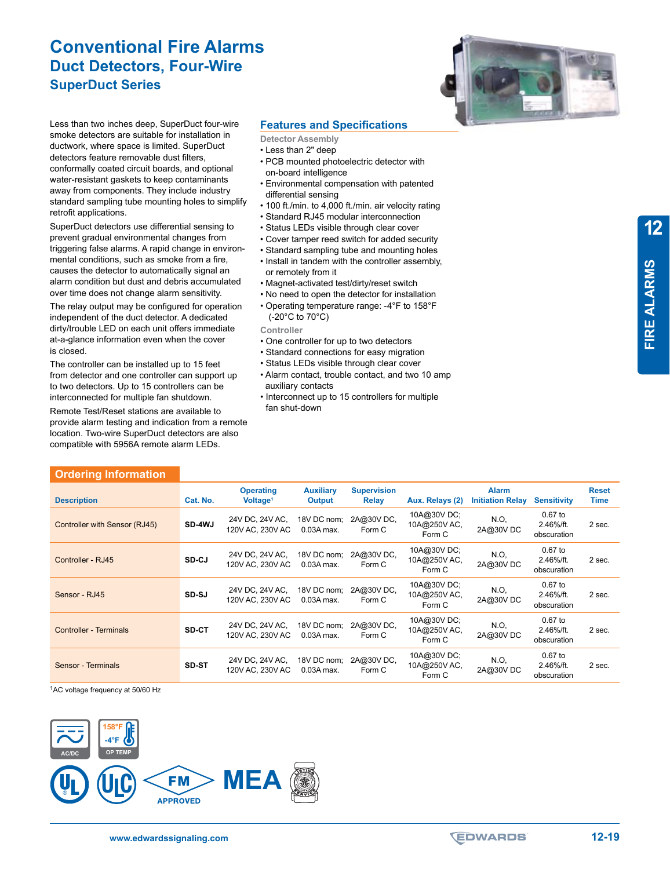## **Conventional Fire Alarms Duct Detectors, Four-Wire SuperDuct Series**



Less than two inches deep, SuperDuct four-wire smoke detectors are suitable for installation in ductwork, where space is limited. SuperDuct detectors feature removable dust filters, conformally coated circuit boards, and optional water-resistant gaskets to keep contaminants away from components. They include industry standard sampling tube mounting holes to simplify retrofit applications.

SuperDuct detectors use differential sensing to prevent gradual environmental changes from triggering false alarms. A rapid change in environmental conditions, such as smoke from a fire, causes the detector to automatically signal an alarm condition but dust and debris accumulated over time does not change alarm sensitivity.

The relay output may be configured for operation independent of the duct detector. A dedicated dirty/trouble LED on each unit offers immediate at-a-glance information even when the cover is closed.

The controller can be installed up to 15 feet from detector and one controller can support up to two detectors. Up to 15 controllers can be interconnected for multiple fan shutdown.

Remote Test/Reset stations are available to provide alarm testing and indication from a remote location. Two-wire SuperDuct detectors are also compatible with 5956A remote alarm LEDs.

**Ordering Information**

### **Features and Specifications**

- **Detector Assembly**
- Less than 2" deep
- PCB mounted photoelectric detector with on-board intelligence
- Environmental compensation with patented differential sensing
- 100 ft./min. to 4,000 ft./min. air velocity rating
- Standard RJ45 modular interconnection
- Status LEDs visible through clear cover
- Cover tamper reed switch for added security
- Standard sampling tube and mounting holes
- Install in tandem with the controller assembly, or remotely from it
- Magnet-activated test/dirty/reset switch
- No need to open the detector for installation
- Operating temperature range: -4°F to 158°F (-20°C to 70°C)

**Controller** 

- One controller for up to two detectors
- Standard connections for easy migration
- Status LEDs visible through clear cover
- Alarm contact, trouble contact, and two 10 amp auxiliary contacts
- Interconnect up to 15 controllers for multiple fan shut-down

| ___________________________   |               |                                          |                                   |                                    |                                      |                                         |                                       |                             |
|-------------------------------|---------------|------------------------------------------|-----------------------------------|------------------------------------|--------------------------------------|-----------------------------------------|---------------------------------------|-----------------------------|
| <b>Description</b>            | Cat. No.      | <b>Operating</b><br>Voltage <sup>1</sup> | <b>Auxiliary</b><br><b>Output</b> | <b>Supervision</b><br><b>Relay</b> | Aux. Relays (2)                      | <b>Alarm</b><br><b>Initiation Relay</b> | <b>Sensitivity</b>                    | <b>Reset</b><br><b>Time</b> |
| Controller with Sensor (RJ45) | <b>SD-4WJ</b> | 24V DC, 24V AC,<br>120V AC, 230V AC      | 18V DC nom;<br>$0.03A$ max.       | 2A@30VDC,<br>Form C                | 10A@30VDC;<br>10A@250VAC,<br>Form C  | N.O.<br>2A@30VDC                        | $0.67$ to<br>2.46%/ft.<br>obscuration | 2 sec.                      |
| Controller - RJ45             | SD-CJ         | 24V DC, 24V AC,<br>120V AC, 230V AC      | 18V DC nom:<br>$0.03A$ max.       | 2A@30VDC,<br>Form C                | 10A@30VDC;<br>10A@250V AC,<br>Form C | N.O.<br>2A@30VDC                        | $0.67$ to<br>2.46%/ft.<br>obscuration | 2 sec.                      |
| Sensor - RJ45                 | SD-SJ         | 24V DC, 24V AC,<br>120V AC, 230V AC      | 18V DC nom;<br>$0.03A$ max.       | 2A@30VDC,<br>Form C                | 10A@30VDC;<br>10A@250VAC,<br>Form C  | N.O.<br>2A@30VDC                        | $0.67$ to<br>2.46%/ft.<br>obscuration | 2 sec.                      |
| <b>Controller - Terminals</b> | SD-CT         | 24V DC, 24V AC,<br>120V AC, 230V AC      | 18V DC nom:<br>$0.03A$ max.       | 2A@30VDC,<br>Form C                | 10A@30VDC;<br>10A@250VAC,<br>Form C  | N.O.<br>2A@30VDC                        | $0.67$ to<br>2.46%/ft.<br>obscuration | 2 sec.                      |
| Sensor - Terminals            | SD-ST         | 24V DC, 24V AC,<br>120V AC, 230V AC      | 18V DC nom:<br>$0.03A$ max.       | 2A@30VDC,<br>Form C                | 10A@30V DC;<br>10A@250VAC,<br>Form C | N.O.<br>2A@30VDC                        | $0.67$ to<br>2.46%/ft.<br>obscuration | 2 sec.                      |

1AC voltage frequency at 50/60 Hz



**12**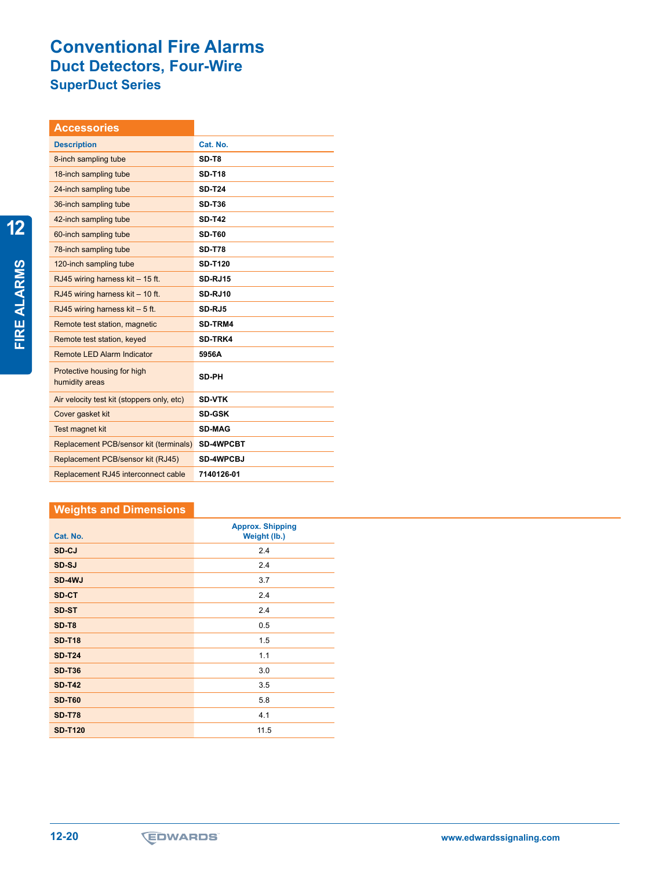# **Conventional Fire Alarms Duct Detectors, Four-Wire SuperDuct Series**

| <b>Accessories</b>                            |                  |
|-----------------------------------------------|------------------|
| <b>Description</b>                            | Cat. No.         |
| 8-inch sampling tube                          | SD-T8            |
| 18-inch sampling tube                         | <b>SD-T18</b>    |
| 24-inch sampling tube                         | <b>SD-T24</b>    |
| 36-inch sampling tube                         | <b>SD-T36</b>    |
| 42-inch sampling tube                         | <b>SD-T42</b>    |
| 60-inch sampling tube                         | <b>SD-T60</b>    |
| 78-inch sampling tube                         | <b>SD-T78</b>    |
| 120-inch sampling tube                        | <b>SD-T120</b>   |
| RJ45 wiring harness kit - 15 ft.              | <b>SD-RJ15</b>   |
| RJ45 wiring harness kit - 10 ft.              | <b>SD-RJ10</b>   |
| RJ45 wiring harness $kit - 5$ ft.             | SD-RJ5           |
| Remote test station, magnetic                 | SD-TRM4          |
| Remote test station, keyed                    | SD-TRK4          |
| <b>Remote LED Alarm Indicator</b>             | 5956A            |
| Protective housing for high<br>humidity areas | <b>SD-PH</b>     |
| Air velocity test kit (stoppers only, etc)    | <b>SD-VTK</b>    |
| Cover gasket kit                              | <b>SD-GSK</b>    |
| Test magnet kit                               | <b>SD-MAG</b>    |
| Replacement PCB/sensor kit (terminals)        | <b>SD-4WPCBT</b> |
| Replacement PCB/sensor kit (RJ45)             | <b>SD-4WPCBJ</b> |
| Replacement RJ45 interconnect cable           | 7140126-01       |

### **Weights and Dimensions**

| Cat. No.       | <b>Approx. Shipping</b><br>Weight (lb.) |
|----------------|-----------------------------------------|
| SD-CJ          | 2.4                                     |
| SD-SJ          | 2.4                                     |
| SD-4WJ         | 3.7                                     |
| SD-CT          | 2.4                                     |
| SD-ST          | 2.4                                     |
| SD-T8          | 0.5                                     |
| <b>SD-T18</b>  | 1.5                                     |
| <b>SD-T24</b>  | 1.1                                     |
| <b>SD-T36</b>  | 3.0                                     |
| <b>SD-T42</b>  | 3.5                                     |
| <b>SD-T60</b>  | 5.8                                     |
| <b>SD-T78</b>  | 4.1                                     |
| <b>SD-T120</b> | 11.5                                    |

**12**